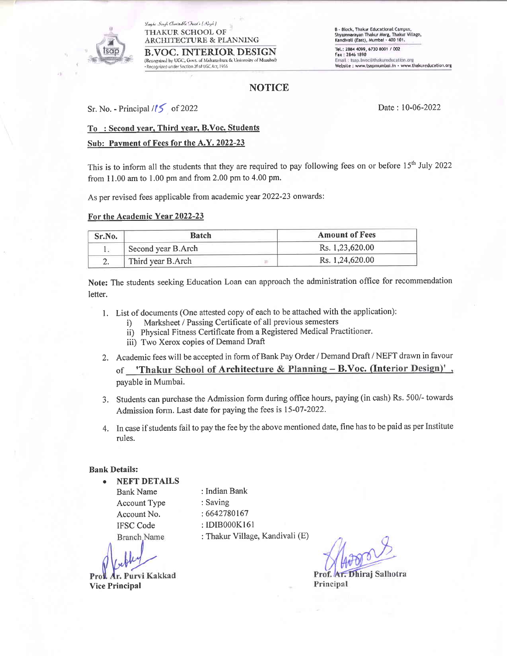#### Laghe Singli Charitable Tuist's (Repl.) **THAKUR SCHOOL OF ARCHITECTURE & PLANNING**

**R.VOC. INTERIOR DESIGN** (Recognised by UGC, Govt. of Maharashtra & University of Mumbail) · Recognized ander Section 2f of UGC Act, 1956

**B - Block, Thakur Educational Campus,** Shyamnarayan Thakur Marg, Thakur Village<br>Kandivali (East), Mumbai - 400 101. Tel.: 2884 4099, 6730 8001 / 002 Fax: 2846 1890 Email: tsap.bvoc@thakureducation.org Website : www.tsapmumbai.in · www.thakureducation.org

# **NOTICE**

Sr. No. - Principal  $/15$  of 2022

Date: 10-06-2022

## To: Second year, Third year, B.Voc. Students

### Sub: Payment of Fees for the A.Y. 2022-23

This is to inform all the students that they are required to pay following fees on or before 15<sup>th</sup> July 2022 from 11.00 am to 1.00 pm and from 2.00 pm to 4.00 pm.

As per revised fees applicable from academic year 2022-23 onwards:

#### For the Academic Year 2022-23

| Sr.No. | <b>Batch</b>       | <b>Amount of Fees</b> |  |
|--------|--------------------|-----------------------|--|
|        | Second year B.Arch | Rs. 1,23,620.00       |  |
|        | Third year B.Arch  | Rs. 1,24,620.00       |  |

Note: The students seeking Education Loan can approach the administration office for recommendation letter.

- 1. List of documents (One attested copy of each to be attached with the application):
	- Marksheet / Passing Certificate of all previous semesters  $i)$
	- ii) Physical Fitness Certificate from a Registered Medical Practitioner.
	- iii) Two Xerox copies of Demand Draft
- 2. Academic fees will be accepted in form of Bank Pay Order / Demand Draft / NEFT drawn in favour of 'Thakur School of Architecture & Planning - B.Voc. (Interior Design)', payable in Mumbai.
- 3. Students can purchase the Admission form during office hours, paying (in cash) Rs. 500/- towards Admission form. Last date for paying the fees is 15-07-2022.
- 4. In case if students fail to pay the fee by the above mentioned date, fine has to be paid as per Institute rules.

### **Bank Details:**

**NEFT DETAILS Bank Name Account Type** Account No. **IFSC Code** Branch Name

tr. Purvi Kakkad **Vice Principal** 

: Indian Bank : Saving : 6642780167 : IDIB000K161 : Thakur Village, Kandivali (E)

Prof. Ar. Dhiraj Salhotra Principal